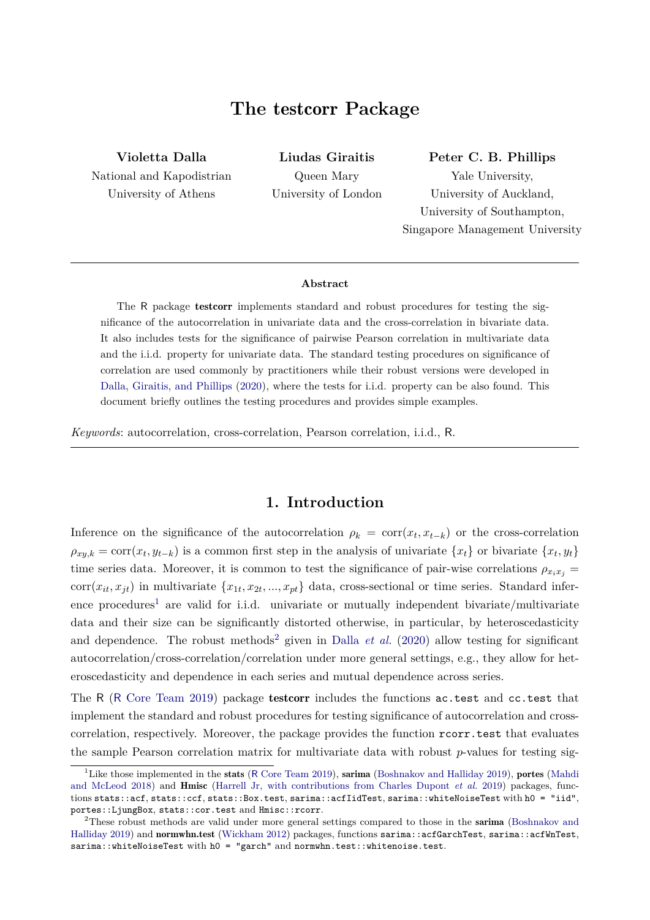# **The** testcorr **Package**

<span id="page-0-0"></span>**Violetta Dalla** National and Kapodistrian University of Athens

**Liudas Giraitis** Queen Mary University of London **Peter C. B. Phillips**

Yale University, University of Auckland, University of Southampton, Singapore Management University

#### **Abstract**

The R package testcorr implements standard and robust procedures for testing the significance of the autocorrelation in univariate data and the cross-correlation in bivariate data. It also includes tests for the significance of pairwise Pearson correlation in multivariate data and the i.i.d. property for univariate data. The standard testing procedures on significance of correlation are used commonly by practitioners while their robust versions were developed in [Dalla, Giraitis, and Phillips](#page-10-0) [\(2020\)](#page-10-0), where the tests for i.i.d. property can be also found. This document briefly outlines the testing procedures and provides simple examples.

*Keywords*: autocorrelation, cross-correlation, Pearson correlation, i.i.d., R.

### **1. Introduction**

Inference on the significance of the autocorrelation  $\rho_k = \text{corr}(x_t, x_{t-k})$  or the cross-correlation  $\rho_{xy,k} = \text{corr}(x_t, y_{t-k})$  is a common first step in the analysis of univariate  $\{x_t\}$  or bivariate  $\{x_t, y_t\}$ time series data. Moreover, it is common to test the significance of pair-wise correlations  $\rho_{x_ix_j}$  =  $corr(x_{it}, x_{jt})$  in multivariate  $\{x_{1t}, x_{2t}, ..., x_{pt}\}$  data, cross-sectional or time series. Standard inference procedures<sup>1</sup> are valid for i.i.d. univariate or mutually independent bivariate/multivariate data and their size can be significantly distorted otherwise, in particular, by heteroscedasticity and dependence. The robust methods<sup>2</sup> given in [Dalla](#page-10-0)  $et$  al. [\(2020\)](#page-10-0) allow testing for significant autocorrelation/cross-correlation/correlation under more general settings, e.g., they allow for heteroscedasticity and dependence in each series and mutual dependence across series.

The R (R [Core Team](#page-11-0) [2019\)](#page-11-0) package testcorr includes the functions ac.test and cc.test that implement the standard and robust procedures for testing significance of autocorrelation and crosscorrelation, respectively. Moreover, the package provides the function rcorr.test that evaluates the sample Pearson correlation matrix for multivariate data with robust *p*-values for testing sig-

<sup>&</sup>lt;sup>1</sup>Like those implemented in the stats (R [Core Team](#page-11-0) [2019\)](#page-10-1), sarima [\(Boshnakov and Halliday](#page-10-1) 2019), portes [\(Mahdi](#page-11-1) [and McLeod](#page-11-1) [2018\)](#page-11-1) and Hmisc [\(Harrell Jr, with contributions from Charles Dupont](#page-10-2) *et al.* [2019\)](#page-10-2) packages, functions stats::acf, stats::ccf, stats::Box.test, sarima::acfIidTest, sarima::whiteNoiseTest with h0 = "iid", portes::LjungBox, stats::cor.test and Hmisc::rcorr.

<sup>&</sup>lt;sup>2</sup>These robust methods are valid under more general settings compared to those in the sarima [\(Boshnakov and](#page-10-1) [Halliday](#page-10-1) [2019\)](#page-10-1) and normwhn.test [\(Wickham](#page-11-2) [2012\)](#page-11-2) packages, functions sarima::acfGarchTest, sarima::acfWnTest, sarima::whiteNoiseTest with h0 = "garch" and normwhn.test::whitenoise.test.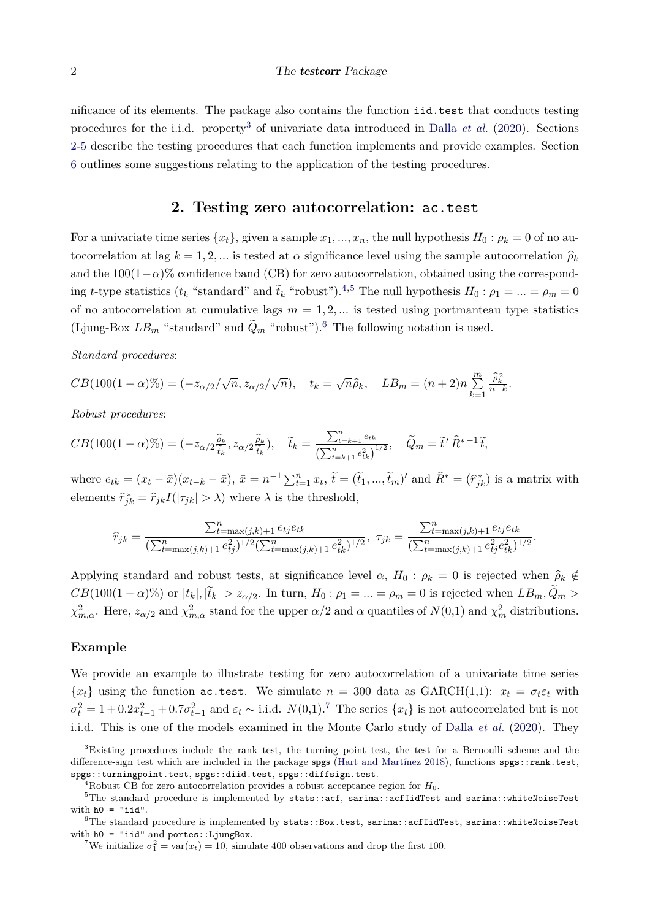nificance of its elements. The package also contains the function iid.test that conducts testing procedures for the i.i.d. property<sup>[3](#page-0-0)</sup> of univariate data introduced in [Dalla](#page-10-0) *et al.* [\(2020\)](#page-10-0). Sections [2](#page-1-0)[-5](#page-8-0) describe the testing procedures that each function implements and provide examples. Section [6](#page-10-3) outlines some suggestions relating to the application of the testing procedures.

### **2. Testing zero autocorrelation:** ac.test

<span id="page-1-0"></span>For a univariate time series  $\{x_t\}$ , given a sample  $x_1, ..., x_n$ , the null hypothesis  $H_0: \rho_k = 0$  of no autocorrelation at lag  $k = 1, 2, \dots$  is tested at  $\alpha$  significance level using the sample autocorrelation  $\hat{\rho}_k$ and the  $100(1-\alpha)\%$  confidence band (CB) for zero autocorrelation, obtained using the corresponding *t*-type statistics ( $t_k$  "standard" and  $\tilde{t}_k$  "robust").<sup>[4,5](#page-0-0)</sup> The null hypothesis  $H_0: \rho_1 = ... = \rho_m = 0$ of no autocorrelation at cumulative lags  $m = 1, 2, \dots$  is tested using portmanteau type statistics (Ljung-Box  $LB_m$  "standard" and  $\tilde{Q}_m$  "robust").<sup>[6](#page-0-0)</sup> The following notation is used.

*Standard procedures*:

$$
CB(100(1-\alpha)\%) = (-z_{\alpha/2}/\sqrt{n}, z_{\alpha/2}/\sqrt{n}), \quad t_k = \sqrt{n}\widehat{\rho}_k, \quad LB_m = (n+2)n \sum_{k=1}^m \frac{\widehat{\rho}_k^2}{n-k}.
$$

*Robust procedures*:

$$
CB(100(1-\alpha)\%) = (-z_{\alpha/2}\frac{\widehat{\rho}_k}{\widehat{t}_k}, z_{\alpha/2}\frac{\widehat{\rho}_k}{\widehat{t}_k}), \quad \widetilde{t}_k = \frac{\sum_{t=k+1}^n e_{tk}}{\left(\sum_{t=k+1}^n e_{tk}^2\right)^{1/2}}, \quad \widetilde{Q}_m = \widetilde{t}' \widehat{R}^{*-1} \widetilde{t},
$$

where  $e_{tk} = (x_t - \bar{x})(x_{t-k} - \bar{x}), \ \bar{x} = n^{-1} \sum_{t=1}^n x_t, \ \tilde{t} = (\tilde{t}_1, ..., \tilde{t}_m)'$  and  $\hat{R}^* = (\hat{r}_{jk}^*)$  is a matrix with elements  $\hat{r}_{jk}^* = \hat{r}_{jk}I(|\tau_{jk}| > \lambda)$  where  $\lambda$  is the threshold,

$$
\hat{r}_{jk} = \frac{\sum_{t=\max(j,k)+1}^{n} e_{tj} e_{tk}}{(\sum_{t=\max(j,k)+1}^{n} e_{tj}^2)^{1/2} (\sum_{t=\max(j,k)+1}^{n} e_{tk}^2)^{1/2}}, \quad \tau_{jk} = \frac{\sum_{t=\max(j,k)+1}^{n} e_{tj}^2 e_{tk}}{(\sum_{t=\max(j,k)+1}^{n} e_{tj}^2 e_{tk}^2)^{1/2}}.
$$

Applying standard and robust tests, at significance level  $\alpha$ ,  $H_0: \rho_k = 0$  is rejected when  $\hat{\rho}_k \notin$  $CB(100(1-\alpha)\%)$  or  $|t_k|, |\tilde{t}_k| > z_{\alpha/2}$ . In turn,  $H_0: \rho_1 = ... = \rho_m = 0$  is rejected when  $LB_m, Q_m >$ *χ*<sup>2</sup><sub>*m*,*α*</sub>. Here, *z*<sub>*α/*2</sub> and *χ*<sup>2</sup><sub>*m*,*α*</sub> stand for the upper *α/*2 and *α* quantiles of *N*(0,1) and *χ*<sup>2</sup><sub>*m*</sub> distributions.

#### **Example**

We provide an example to illustrate testing for zero autocorrelation of a univariate time series  ${x_t}$  using the function ac.test. We simulate  $n = 300$  data as GARCH(1,1):  $x_t = \sigma_t \varepsilon_t$  with  $\sigma_t^2 = 1 + 0.2x_{t-1}^2 + 0.7\sigma_{t-1}^2$  $\sigma_t^2 = 1 + 0.2x_{t-1}^2 + 0.7\sigma_{t-1}^2$  $\sigma_t^2 = 1 + 0.2x_{t-1}^2 + 0.7\sigma_{t-1}^2$  and  $\varepsilon_t \sim \text{i.i.d. } N(0,1)$ .<sup>7</sup> The series  $\{x_t\}$  is not autocorrelated but is not i.i.d. This is one of the models examined in the Monte Carlo study of [Dalla](#page-10-0) *et al.* [\(2020\)](#page-10-0). They

<sup>3</sup>Existing procedures include the rank test, the turning point test, the test for a Bernoulli scheme and the difference-sign test which are included in the package spgs [\(Hart and Martínez](#page-10-4) [2018\)](#page-10-4), functions spgs::rank.test, spgs::turningpoint.test, spgs::diid.test, spgs::diffsign.test.

<sup>&</sup>lt;sup>4</sup>Robust CB for zero autocorrelation provides a robust acceptance region for  $H_0$ .

 $5$ The standard procedure is implemented by stats::acf, sarima::acfIidTest and sarima::whiteNoiseTest with  $ho = "iid".$ 

 $6$ The standard procedure is implemented by stats::Box.test, sarima::acfIidTest, sarima::whiteNoiseTest with  $ho = "iid"$  and portes::LjungBox.

<sup>&</sup>lt;sup>7</sup>We initialize  $\sigma_1^2 = \text{var}(x_t) = 10$ , simulate 400 observations and drop the first 100.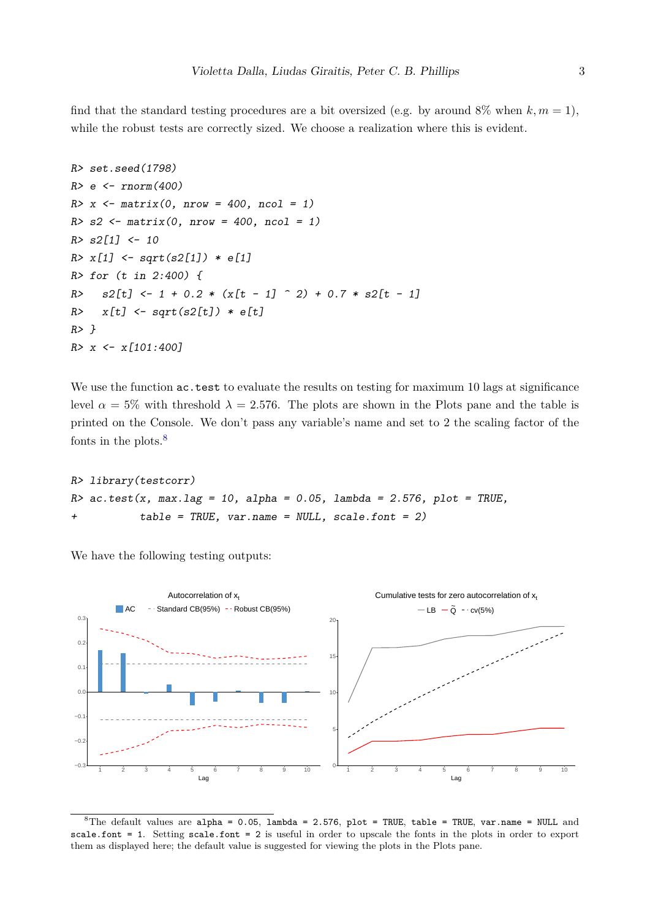find that the standard testing procedures are a bit oversized (e.g. by around 8% when  $k, m = 1$ ), while the robust tests are correctly sized. We choose a realization where this is evident.

```
R> set.seed(1798)
R > e \leftarrow rnorm(400)R > x <- matrix(0, nrow = 400, ncol = 1)
R > s2 <- matrix(0, nrow = 400, ncol = 1)
R > s2[1] <- 10
R > x[1] <- sqrt(s2[1]) * e[1]
R> for (t in 2:400) {
R> s2[t] <- 1 + 0.2 * (x[t - 1] ^ 2) + 0.7 * s2[t - 1]R> x[t] <- sqrt(s2[t]) * e[t]
R > \lambdaR> x <- x[101:400]
```
We use the function  $ac.test$  to evaluate the results on testing for maximum 10 lags at significance level  $\alpha = 5\%$  with threshold  $\lambda = 2.576$ . The plots are shown in the Plots pane and the table is printed on the Console. We don't pass any variable's name and set to 2 the scaling factor of the fonts in the plots.[8](#page-0-0)

```
R> library(testcorr)
R> ac.test(x, max.lag = 10, alpha = 0.05, lambda = 2.576, plot = TRUE,
           table = TRUE, var.name = NULL, scale.font = 2)
```
We have the following testing outputs:



<sup>&</sup>lt;sup>8</sup>The default values are alpha = 0.05, lambda = 2.576, plot = TRUE, table = TRUE, var.name = NULL and scale.font = 1. Setting scale.font = 2 is useful in order to upscale the fonts in the plots in order to export them as displayed here; the default value is suggested for viewing the plots in the Plots pane.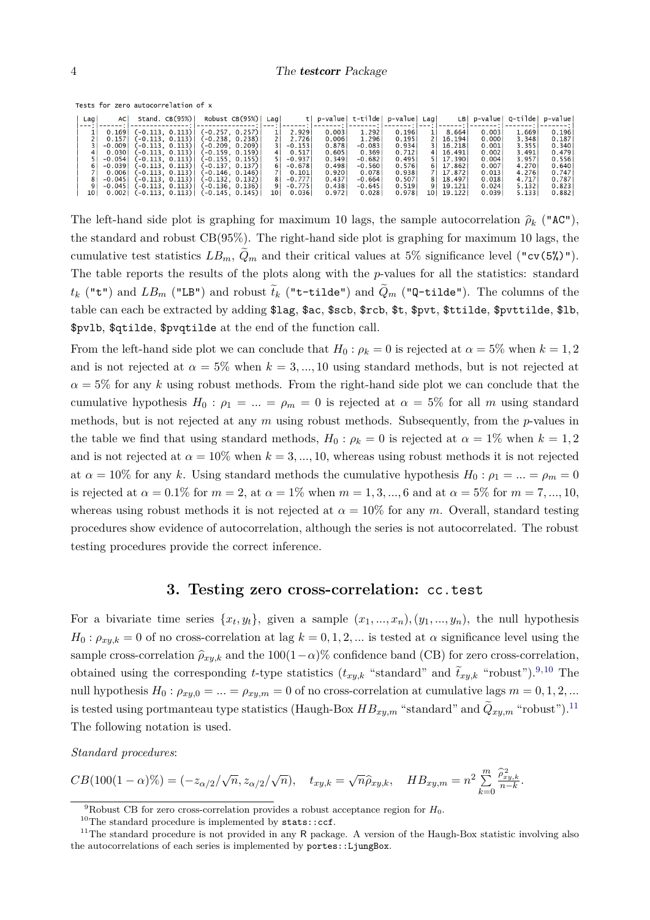Tests for zero autocorrelation of x

| Lagi | AC I     | Stand. $CB(95%)$ |          | Robust $CB(95%)$  | Lagi |          | p-valuel | t-tilde  | p-value | Lagi |         |        | $LB p-value Q-tilde $ | p-value |
|------|----------|------------------|----------|-------------------|------|----------|----------|----------|---------|------|---------|--------|-----------------------|---------|
| ---  |          |                  |          |                   |      |          |          |          |         |      |         |        |                       |         |
|      | 0.169    | (-0.113, 0.113)  |          | (-0.257, 0.257)   |      | 2.929    | 0.003    | 1.292    | 0.196   |      | 8.664   | 0.003  | 1.669                 | 0.196   |
|      | 0.157    | (-0.113. 0.113)  |          | 〔-0.238. 0.238〕   |      | 2.726    | 0.006    | 1.296    | 0.195   |      | 16.1941 | 0.0001 | 3.348                 | 0.187   |
|      | $-0.009$ | (-0.113, 0.113)  |          | (-0.209, 0.209)   |      | $-0.153$ | 0.878    | $-0.083$ | 0.934   |      | 16.218  | 0.001  | 3.355                 | 0.340   |
|      | 0.030    | (-0.113. 0.113)  |          | 〔-0.159. 0.159〕   | 4 I  | 0.517    | 0.605    | 0.369    | 0.712   |      | 16.491  | 0.002  | 3.491                 | 0.479   |
|      | $-0.054$ | (-0.113.0.113)   |          | (-0.155. 0.155)   |      | $-0.937$ | 0.349    | $-0.682$ | 0.495   |      | 17.390  | 0.004  | 3.957                 | 0.556   |
|      | $-0.039$ | (-0.113.0.113)   |          | $[-0.137, 0.137]$ |      | $-0.678$ | 0.498    | $-0.560$ | 0.576   | 61   | 17.862  | 0.007  | 4.270                 | 0.640   |
|      | 0.006    | (-0.113.0.113)   |          | 〔-0.146. 0.146〕   |      | 0.101    | 0.920    | 0.078    | 0.938   |      | 17.872  | 0.013  | 4.276                 | 0.747   |
|      | $-0.045$ | (-0.113, 0.113)  |          | (-0.132, 0.132)   | 8    | $-0.777$ | 0.437    | $-0.664$ | 0.507   |      | 18.497  | 0.018  | 4.717                 | 0.787   |
|      | $-0.045$ | (-0.113. 0.113)  |          | 〔-0.136. 0.136〕   | 9    | $-0.775$ | 0.438    | $-0.645$ | 0.519   | 9.   | 19.121  | 0.024  | 5.132                 | 0.823   |
| 10 I | 0.002    | 〔-0.113, 0.113〕  | 〔-0.145. | 0.145)            | 10   | 0.036    | 0.972    | 0.028    | 0.978   | 10   | 19.122  | 0.039  | 5.133                 | 0.882   |

The left-hand side plot is graphing for maximum 10 lags, the sample autocorrelation  $\hat{\rho}_k$  ("AC"), the standard and robust CB(95%). The right-hand side plot is graphing for maximum 10 lags, the cumulative test statistics  $LB_m$ ,  $\ddot{Q}_m$  and their critical values at 5% significance level ("cv(5%)"). The table reports the results of the plots along with the *p*-values for all the statistics: standard  $t_k$  ("t") and  $LB_m$  ("LB") and robust  $t_k$  ("t-tilde") and  $Q_m$  ("Q-tilde"). The columns of the table can each be extracted by adding \$lag, \$ac, \$scb, \$rcb, \$t, \$pvt, \$ttilde, \$pvttilde, \$lb, \$pvlb, \$qtilde, \$pvqtilde at the end of the function call.

From the left-hand side plot we can conclude that  $H_0: \rho_k = 0$  is rejected at  $\alpha = 5\%$  when  $k = 1, 2$ and is not rejected at  $\alpha = 5\%$  when  $k = 3, ..., 10$  using standard methods, but is not rejected at  $\alpha = 5\%$  for any k using robust methods. From the right-hand side plot we can conclude that the cumulative hypothesis  $H_0: \rho_1 = ... = \rho_m = 0$  is rejected at  $\alpha = 5\%$  for all *m* using standard methods, but is not rejected at any *m* using robust methods. Subsequently, from the *p*-values in the table we find that using standard methods,  $H_0: \rho_k = 0$  is rejected at  $\alpha = 1\%$  when  $k = 1, 2$ and is not rejected at  $\alpha = 10\%$  when  $k = 3, ..., 10$ , whereas using robust methods it is not rejected at  $\alpha = 10\%$  for any k. Using standard methods the cumulative hypothesis  $H_0: \rho_1 = ... = \rho_m = 0$ is rejected at  $\alpha = 0.1\%$  for  $m = 2$ , at  $\alpha = 1\%$  when  $m = 1, 3, ..., 6$  and at  $\alpha = 5\%$  for  $m = 7, ..., 10$ , whereas using robust methods it is not rejected at  $\alpha = 10\%$  for any *m*. Overall, standard testing procedures show evidence of autocorrelation, although the series is not autocorrelated. The robust testing procedures provide the correct inference.

### **3. Testing zero cross-correlation:** cc.test

<span id="page-3-0"></span>For a bivariate time series  $\{x_t, y_t\}$ , given a sample  $(x_1, ..., x_n)$ ,  $(y_1, ..., y_n)$ , the null hypothesis  $H_0: \rho_{xy,k} = 0$  of no cross-correlation at lag  $k = 0, 1, 2, \dots$  is tested at  $\alpha$  significance level using the sample cross-correlation  $\hat{\rho}_{xy,k}$  and the 100(1−*α*)% confidence band (CB) for zero cross-correlation, obtained using the corresponding *t*-type statistics  $(t_{xy,k}$  "standard" and  $\tilde{t}_{xy,k}$  "robust").<sup>[9,10](#page-0-0)</sup> The null hypothesis  $H_0: \rho_{xy,0} = ... = \rho_{xy,m} = 0$  of no cross-correlation at cumulative lags  $m = 0, 1, 2, ...$ is tested using portmanteau type statistics (Haugh-Box  $HB_{xy,m}$  "standard" and  $\widetilde{Q}_{xy,m}$  "robust").<sup>[11](#page-0-0)</sup> The following notation is used.

*Standard procedures*:

$$
CB(100(1-\alpha)\%) = (-z_{\alpha/2}/\sqrt{n}, z_{\alpha/2}/\sqrt{n}), \quad t_{xy,k} = \sqrt{n}\hat{\rho}_{xy,k}, \quad HB_{xy,m} = n^2 \sum_{k=0}^{m} \frac{\hat{\rho}_{xy,k}^2}{n-k}.
$$

<sup>&</sup>lt;sup>9</sup>Robust CB for zero cross-correlation provides a robust acceptance region for  $H_0$ .

 $^{10}\mathrm{The}$  standard procedure is implemented by  $\texttt{stats::ccf}.$ 

<sup>&</sup>lt;sup>11</sup>The standard procedure is not provided in any R package. A version of the Haugh-Box statistic involving also the autocorrelations of each series is implemented by portes::LjungBox.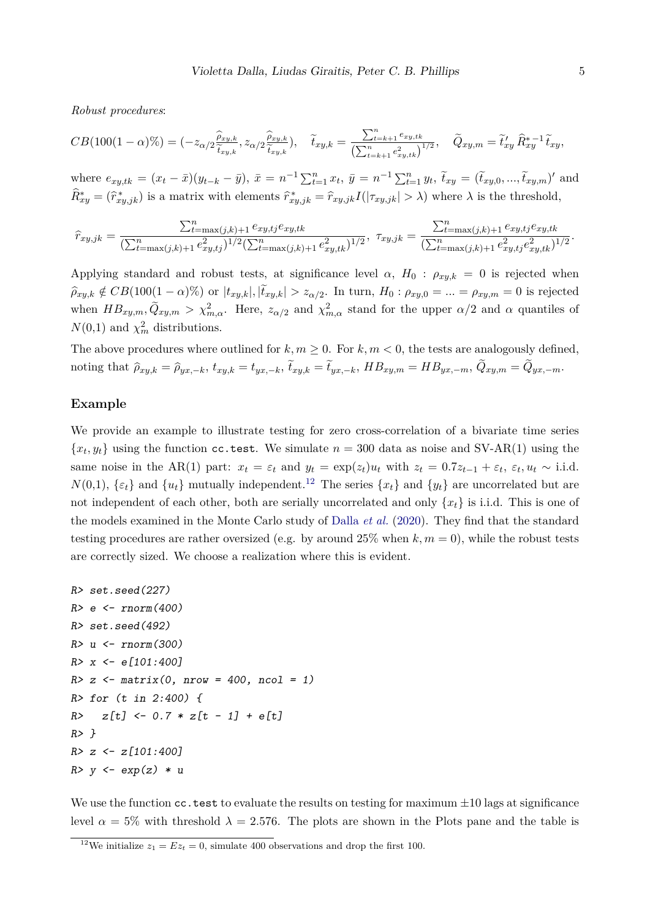*Robust procedures*:

$$
CB(100(1-\alpha)\%) = (-z_{\alpha/2}\frac{\widehat{\rho}_{xy,k}}{\widetilde{t}_{xy,k}}, z_{\alpha/2}\frac{\widehat{\rho}_{xy,k}}{\widetilde{t}_{xy,k}}), \quad \widetilde{t}_{xy,k} = \frac{\sum_{t=k+1}^{n} e_{xy,tk}}{\left(\sum_{t=k+1}^{n} e_{xy,tk}^2\right)^{1/2}}, \quad \widetilde{Q}_{xy,m} = \widetilde{t}_{xy}^{\prime} \widehat{R}_{xy}^{*-1} \widetilde{t}_{xy},
$$

where  $e_{xy,tk} = (x_t - \bar{x})(y_{t-k} - \bar{y}), \ \bar{x} = n^{-1}\sum_{t=1}^n x_t, \ \bar{y} = n^{-1}\sum_{t=1}^n y_t, \ \tilde{t}_{xy} = (\tilde{t}_{xy,0},...,\tilde{t}_{xy,m})'$  and  $\widehat{R}^*_{xy} = (\widehat{r}^*_{xy,jk})$  is a matrix with elements  $\widehat{r}^*_{xy,jk} = \widehat{r}_{xy,jk}I(|\tau_{xy,jk}| > \lambda)$  where  $\lambda$  is the threshold,

$$
\hat{r}_{xy,jk} = \frac{\sum_{t=\max(j,k)+1}^{n} e_{xy,tj} e_{xy,tk}}{(\sum_{t=\max(j,k)+1}^{n} e_{xy,tj}^2)^{1/2} (\sum_{t=\max(j,k)+1}^{n} e_{xy,tk}^2)^{1/2}}, \quad \tau_{xy,jk} = \frac{\sum_{t=\max(j,k)+1}^{n} e_{xy,tj} e_{xy,tk}}{(\sum_{t=\max(j,k)+1}^{n} e_{xy,tj}^2 e_{xy,tk}^2)^{1/2}}.
$$

Applying standard and robust tests, at significance level  $\alpha$ ,  $H_0$ :  $\rho_{xy,k} = 0$  is rejected when  $\widehat{\rho}_{xy,k} \notin CB(100(1-\alpha)\%)$  or  $|t_{xy,k}|, |t_{xy,k}| > z_{\alpha/2}$ . In turn,  $H_0: \rho_{xy,0} = ... = \rho_{xy,m} = 0$  is rejected when  $HB_{xy,m}$ ,  $\tilde{Q}_{xy,m} > \chi^2_{m,\alpha}$ . Here,  $z_{\alpha/2}$  and  $\chi^2_{m,\alpha}$  stand for the upper  $\alpha/2$  and  $\alpha$  quantiles of  $N(0,1)$  and  $\chi^2_m$  distributions.

The above procedures where outlined for  $k, m \geq 0$ . For  $k, m < 0$ , the tests are analogously defined, noting that  $\hat{\rho}_{xy,k} = \hat{\rho}_{yx,-k}$ ,  $t_{xy,k} = t_{yx,-k}$ ,  $t_{xy,k} = t_{yx,-k}$ ,  $HB_{xy,m} = HB_{yx,-m}$ ,  $Q_{xy,m} = Q_{yx,-m}$ .

#### **Example**

We provide an example to illustrate testing for zero cross-correlation of a bivariate time series  ${x_t, y_t}$  using the function cc.test. We simulate  $n = 300$  data as noise and SV-AR(1) using the same noise in the AR(1) part:  $x_t = \varepsilon_t$  and  $y_t = \exp(z_t)u_t$  with  $z_t = 0.7z_{t-1} + \varepsilon_t$ ,  $\varepsilon_t, u_t \sim$  i.i.d.  $N(0,1)$ ,  $\{\varepsilon_t\}$  and  $\{u_t\}$  mutually independent.<sup>[12](#page-0-0)</sup> The series  $\{x_t\}$  and  $\{y_t\}$  are uncorrelated but are not independent of each other, both are serially uncorrelated and only {*xt*} is i.i.d. This is one of the models examined in the Monte Carlo study of [Dalla](#page-10-0) *et al.* [\(2020\)](#page-10-0). They find that the standard testing procedures are rather oversized (e.g. by around  $25\%$  when  $k, m = 0$ ), while the robust tests are correctly sized. We choose a realization where this is evident.

```
R> set.seed(227)
R > e < -rnorm(400)R> set.seed(492)
R> u <- rnorm(300)
R> x <- e[101:400]
R > z <- matrix(0, nrow = 400, ncol = 1)
R> for (t in 2:400) {
R > z[t] < -0.7 * z[t - 1] + e[t]R > \lambdaR > z \leftarrow z[101:400]R> y <- exp(z) * u
```
We use the function  $cc$  test to evaluate the results on testing for maximum  $\pm 10$  lags at significance level  $\alpha = 5\%$  with threshold  $\lambda = 2.576$ . The plots are shown in the Plots pane and the table is

<sup>&</sup>lt;sup>12</sup>We initialize  $z_1 = Ez_t = 0$ , simulate 400 observations and drop the first 100.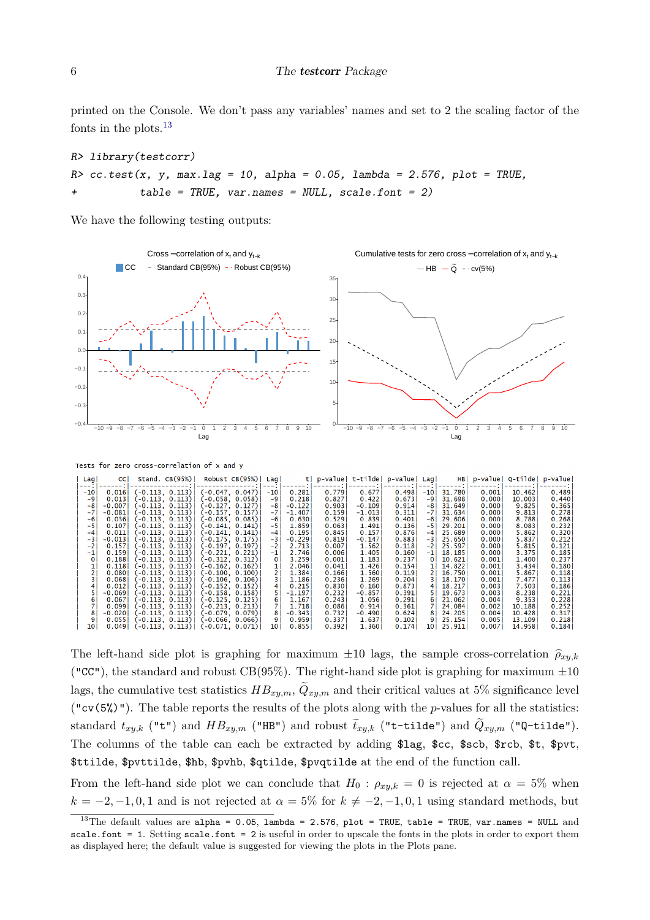printed on the Console. We don't pass any variables' names and set to 2 the scaling factor of the fonts in the plots. $^{13}$  $^{13}$  $^{13}$ 

```
R> library(testcorr)
R> cc.test(x, y, max.lag = 10, alpha = 0.05, lambda = 2.576, plot = TRUE,
           table = TRUE, var.names = NULL, scale.font = 2)
```
We have the following testing outputs:

 $0.055$ <br> $0.049$ 

 $\begin{array}{c} 0.113 \\ 0.113 \end{array}$ 

-0.113,<br>-0.113.

 $(-0.066, (-0.071,$ 

 $0.066$ <br> $0.071)$ 



The left-hand side plot is graphing for maximum  $\pm 10$  lags, the sample cross-correlation  $\hat{\rho}_{xuk}$ ("CC"), the standard and robust CB(95%). The right-hand side plot is graphing for maximum  $\pm 10$ lags, the cumulative test statistics  $HB_{xy,m}$ ,  $Q_{xy,m}$  and their critical values at 5% significance level ("cv(5%)"). The table reports the results of the plots along with the *p*-values for all the statistics: standard  $t_{xy,k}$  ("t") and  $HB_{xy,m}$  ("HB") and robust  $\tilde{t}_{xy,k}$  ("t-tilde") and  $Q_{xy,m}$  ("Q-tilde"). The columns of the table can each be extracted by adding \$lag, \$cc, \$scb, \$rcb, \$t, \$pvt, \$ttilde, \$pvttilde, \$hb, \$pvhb, \$qtilde, \$pvqtilde at the end of the function call.

From the left-hand side plot we can conclude that  $H_0$ :  $\rho_{xy,k} = 0$  is rejected at  $\alpha = 5\%$  when  $k = -2, -1, 0, 1$  and is not rejected at  $\alpha = 5\%$  for  $k \neq -2, -1, 0, 1$  using standard methods, but

<sup>&</sup>lt;sup>13</sup>The default values are alpha = 0.05, lambda = 2.576, plot = TRUE, table = TRUE, var.names = NULL and scale.font = 1. Setting scale.font = 2 is useful in order to upscale the fonts in the plots in order to export them as displayed here; the default value is suggested for viewing the plots in the Plots pane.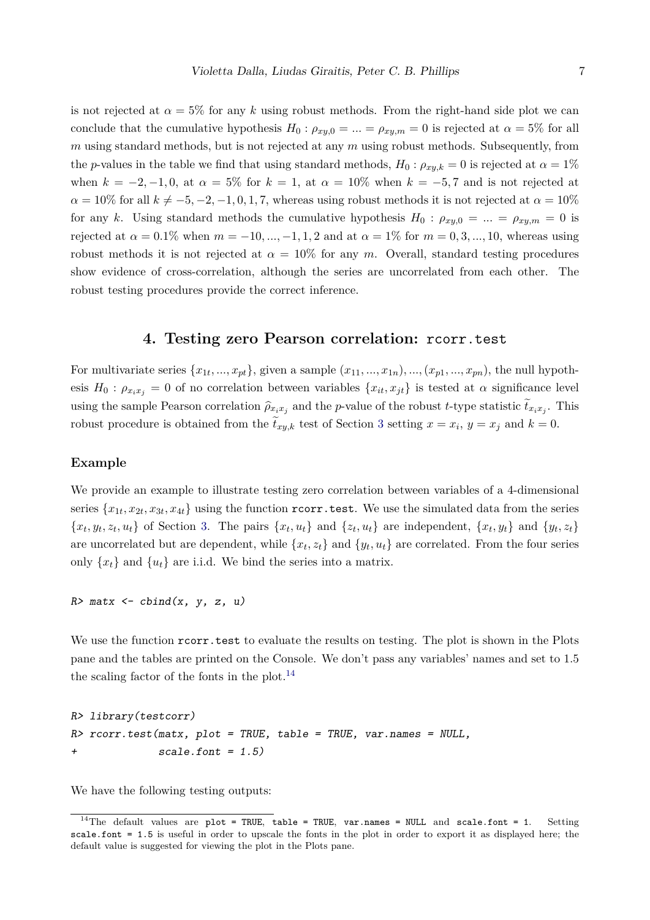is not rejected at  $\alpha = 5\%$  for any k using robust methods. From the right-hand side plot we can conclude that the cumulative hypothesis  $H_0: \rho_{xy,0} = ... = \rho_{xy,m} = 0$  is rejected at  $\alpha = 5\%$  for all *m* using standard methods, but is not rejected at any *m* using robust methods. Subsequently, from the *p*-values in the table we find that using standard methods,  $H_0: \rho_{xy,k} = 0$  is rejected at  $\alpha = 1\%$ when  $k = -2, -1, 0$ , at  $\alpha = 5\%$  for  $k = 1$ , at  $\alpha = 10\%$  when  $k = -5, 7$  and is not rejected at  $\alpha = 10\%$  for all  $k \neq -5, -2, -1, 0, 1, 7$ , whereas using robust methods it is not rejected at  $\alpha = 10\%$ for any *k*. Using standard methods the cumulative hypothesis  $H_0: \rho_{xy,0} = ... = \rho_{xy,m} = 0$  is rejected at *α* = 0*.*1% when *m* = −10*, ...,* −1*,* 1*,* 2 and at *α* = 1% for *m* = 0*,* 3*, ...,* 10, whereas using robust methods it is not rejected at  $\alpha = 10\%$  for any *m*. Overall, standard testing procedures show evidence of cross-correlation, although the series are uncorrelated from each other. The robust testing procedures provide the correct inference.

### **4. Testing zero Pearson correlation:** rcorr.test

For multivariate series  $\{x_{1t},...,x_{pt}\}$ , given a sample  $(x_{11},...,x_{1n}),...,(x_{p1},...,x_{pn})$ , the null hypothesis  $H_0: \rho_{x_ix_j} = 0$  of no correlation between variables  $\{x_{it}, x_{jt}\}$  is tested at  $\alpha$  significance level using the sample Pearson correlation  $\hat{\rho}_{x_ix_j}$  and the *p*-value of the robust *t*-type statistic  $\hat{t}_{x_ix_j}$ . This robust procedure is obtained from the  $\hat{t}_{xy,k}$  test of Section [3](#page-3-0) setting  $x = x_i$ ,  $y = x_j$  and  $k = 0$ .

#### **Example**

We provide an example to illustrate testing zero correlation between variables of a 4-dimensional series  $\{x_{1t}, x_{2t}, x_{3t}, x_{4t}\}$  using the function  $\texttt{rcorr.test.}$  We use the simulated data from the series  $\{x_t, y_t, z_t, u_t\}$  of Section [3.](#page-3-0) The pairs  $\{x_t, u_t\}$  and  $\{z_t, u_t\}$  are independent,  $\{x_t, y_t\}$  and  $\{y_t, z_t\}$ are uncorrelated but are dependent, while  $\{x_t, z_t\}$  and  $\{y_t, u_t\}$  are correlated. From the four series only  $\{x_t\}$  and  $\{u_t\}$  are i.i.d. We bind the series into a matrix.

 $R$ > matx <- cbind(x, y, z, u)

We use the function  $r\text{-}corr \text{-} test$  to evaluate the results on testing. The plot is shown in the Plots pane and the tables are printed on the Console. We don't pass any variables' names and set to 1.5 the scaling factor of the fonts in the plot.<sup>[14](#page-0-0)</sup>

```
R> library(testcorr)
R> rcorr.test(matx, plot = TRUE, table = TRUE, var.names = NULL,
+ scale.font = 1.5)
```
We have the following testing outputs:

 $14$ The default values are plot = TRUE, table = TRUE, var.names = NULL and scale.font = 1. Setting scale.font = 1.5 is useful in order to upscale the fonts in the plot in order to export it as displayed here; the default value is suggested for viewing the plot in the Plots pane.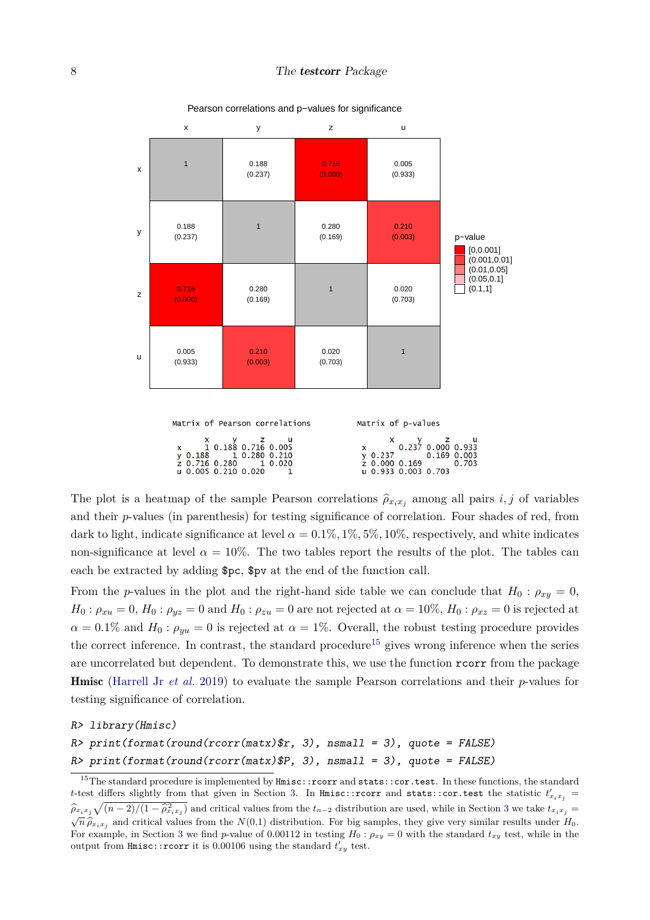

#### Pearson correlations and p−values for significance

The plot is a heatmap of the sample Pearson correlations  $\hat{\rho}_{x_ix_j}$  among all pairs *i, j* of variables and their *p*-values (in parenthesis) for testing significance of correlation. Four shades of red, from dark to light, indicate significance at level  $\alpha = 0.1\%, 1\%, 5\%, 10\%$ , respectively, and white indicates non-significance at level  $\alpha = 10\%$ . The two tables report the results of the plot. The tables can each be extracted by adding \$pc, \$pv at the end of the function call.

From the *p*-values in the plot and the right-hand side table we can conclude that  $H_0: \rho_{xy} = 0$ ,  $H_0: \rho_{xu} = 0, H_0: \rho_{yz} = 0$  and  $H_0: \rho_{zu} = 0$  are not rejected at  $\alpha = 10\%$ ,  $H_0: \rho_{xz} = 0$  is rejected at  $\alpha = 0.1\%$  and  $H_0: \rho_{vu} = 0$  is rejected at  $\alpha = 1\%$ . Overall, the robust testing procedure provides the correct inference. In contrast, the standard procedure<sup>[15](#page-0-0)</sup> gives wrong inference when the series are uncorrelated but dependent. To demonstrate this, we use the function rcorr from the package Hmisc [\(Harrell Jr](#page-10-2) *et al.* [2019\)](#page-10-2) to evaluate the sample Pearson correlations and their *p*-values for testing significance of correlation.

R> library(Hmisc)

$$
R > print(fromat(rownd(corr(matz)*r, 3), nsmall = 3), quote = FALSE)
$$

 $R$ > print(format(round(rcorr(matx)\$P, 3), nsmall = 3), quote = FALSE)

<sup>&</sup>lt;sup>15</sup>The standard procedure is implemented by  $H$ misc::rcorr and stats::cor.test. In these functions, the standard *t*-test differs slightly from that given in Section [3.](#page-3-0) In Hmisc::rcorr and stats::cor.test the statistic  $t'_{x_ix_j}$  =  $\hat{\rho}_{x_ix_j}\sqrt{(n-2)/(1-\hat{\rho}_{x_ix_j}^2)}$  and critical values from the  $t_{n-2}$  distribution are used, while in Section [3](#page-3-0) we take  $t_{x_ix_j} =$  $\sqrt{n} \hat{\rho}_{x_i x_j}$  and critical values from the *N*(0,1) distribution. For big samples, they give very similar results under *H*<sub>0</sub>. For example, in Section [3](#page-3-0) we find *p*-value of 0.00112 in testing  $H_0: \rho_{xy} = 0$  with the standard  $t_{xy}$  test, while in the output from  $\texttt{Hmisc::ncorr}$  it is 0.00106 using the standard  $t'_{xy}$  test.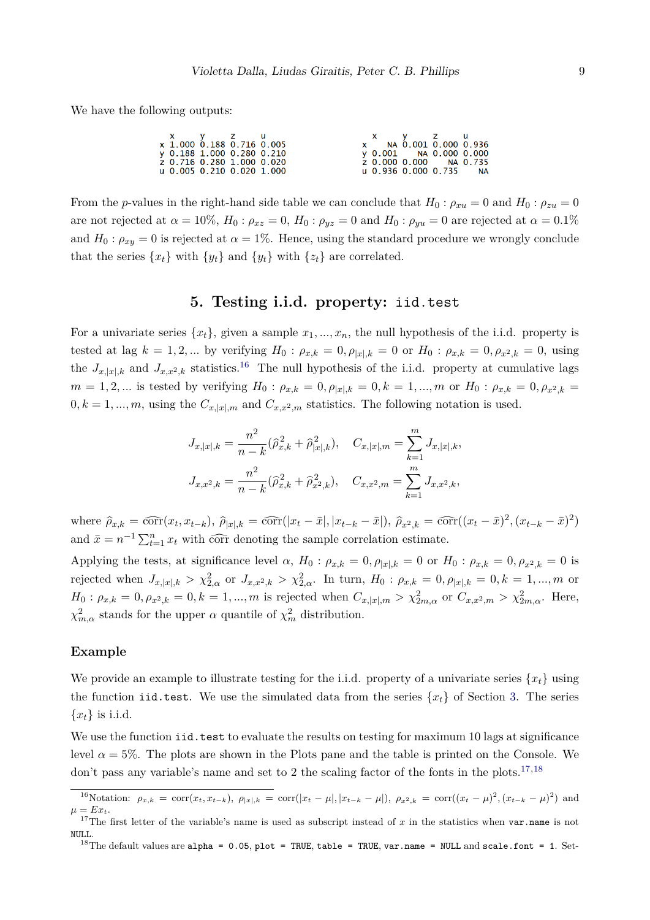We have the following outputs:

| x y z u                   |  |  | X y z u                |  |
|---------------------------|--|--|------------------------|--|
| x 1.000 0.188 0.716 0.005 |  |  | x NA 0.001 0.000 0.936 |  |
| y 0.188 1.000 0.280 0.210 |  |  | y 0.001 NA 0.000 0.000 |  |
| z 0.716 0.280 1.000 0.020 |  |  | z 0.000 0.000 NA 0.735 |  |
| u 0.005 0.210 0.020 1.000 |  |  | u 0.936 0.000 0.735 NA |  |

From the *p*-values in the right-hand side table we can conclude that  $H_0: \rho_{x} = 0$  and  $H_0: \rho_{z} = 0$ are not rejected at  $\alpha = 10\%, H_0: \rho_{xz} = 0, H_0: \rho_{yz} = 0$  and  $H_0: \rho_{yu} = 0$  are rejected at  $\alpha = 0.1\%$ and  $H_0: \rho_{xy} = 0$  is rejected at  $\alpha = 1\%$ . Hence, using the standard procedure we wrongly conclude that the series  $\{x_t\}$  with  $\{y_t\}$  and  $\{y_t\}$  with  $\{z_t\}$  are correlated.

### **5. Testing i.i.d. property:** iid.test

<span id="page-8-0"></span>For a univariate series  $\{x_t\}$ , given a sample  $x_1, \ldots, x_n$ , the null hypothesis of the i.i.d. property is tested at lag  $k = 1, 2, ...$  by verifying  $H_0: \rho_{x,k} = 0, \rho_{|x|,k} = 0$  or  $H_0: \rho_{x,k} = 0, \rho_{x^2,k} = 0$ , using the  $J_{x,[x],k}$  and  $J_{x,x^2,k}$  statistics.<sup>[16](#page-0-0)</sup> The null hypothesis of the i.i.d. property at cumulative lags  $m = 1, 2, ...$  is tested by verifying  $H_0: \rho_{x,k} = 0, \rho_{|x|,k} = 0, k = 1, ..., m$  or  $H_0: \rho_{x,k} = 0, \rho_{x^2,k} = 0$  $0, k = 1, \ldots, m$ , using the  $C_{x, |x|, m}$  and  $C_{x, x^2, m}$  statistics. The following notation is used.

$$
\begin{aligned} &J_{x,|x|,k}=\frac{n^2}{n-k}(\widehat{\rho}_{x,k}^2+\widehat{\rho}_{|x|,k}^2),\quad C_{x,|x|,m}=\sum_{k=1}^mJ_{x,|x|,k},\\ &J_{x,x^2,k}=\frac{n^2}{n-k}(\widehat{\rho}_{x,k}^2+\widehat{\rho}_{x^2,k}^2),\quad C_{x,x^2,m}=\sum_{k=1}^mJ_{x,x^2,k}, \end{aligned}
$$

where  $\hat{\rho}_{x,k} = \widehat{\text{corr}}(x_t, x_{t-k}), \ \hat{\rho}_{|x|,k} = \widehat{\text{corr}}(|x_t - \bar{x}|, |x_{t-k} - \bar{x}|), \ \hat{\rho}_{x^2,k} = \widehat{\text{corr}}((x_t - \bar{x})^2, (x_{t-k} - \bar{x})^2)$ and  $\bar{x} = n^{-1} \sum_{t=1}^{n} x_t$  with corr denoting the sample correlation estimate.

Applying the tests, at significance level  $\alpha$ ,  $H_0: \rho_{x,k} = 0, \rho_{|x|,k} = 0$  or  $H_0: \rho_{x,k} = 0, \rho_{x^2,k} = 0$  is rejected when  $J_{x,|x|,k} > \chi^2_{2,\alpha}$  or  $J_{x,x^2,k} > \chi^2_{2,\alpha}$ . In turn,  $H_0: \rho_{x,k} = 0, \rho_{|x|,k} = 0, k = 1,...,m$  or  $H_0: \rho_{x,k} = 0, \rho_{x^2,k} = 0, k = 1, ..., m$  is rejected when  $C_{x,|x|,m} > \chi^2_{2m,\alpha}$  or  $C_{x,x^2,m} > \chi^2_{2m,\alpha}$ . Here, *χ*<sup>2</sup><sub>*m*,*α*</sub> stands for the upper *α* quantile of  $χ$ <sup>2</sup><sub>*m*</sub> distribution.

#### **Example**

We provide an example to illustrate testing for the i.i.d. property of a univariate series  $\{x_t\}$  using the function iid.test. We use the simulated data from the series  $\{x_t\}$  of Section [3.](#page-3-0) The series  ${x_t}$  is i.i.d.

We use the function iid.test to evaluate the results on testing for maximum 10 lags at significance level  $\alpha = 5\%$ . The plots are shown in the Plots pane and the table is printed on the Console. We don't pass any variable's name and set to 2 the scaling factor of the fonts in the plots.<sup>[17,18](#page-0-0)</sup>

<sup>&</sup>lt;sup>16</sup>Notation:  $\rho_{x,k} = \text{corr}(x_t, x_{t-k}), \ \rho_{|x|,k} = \text{corr}(|x_t - \mu|, |x_{t-k} - \mu|), \ \rho_{x^2,k} = \text{corr}((x_t - \mu)^2, (x_{t-k} - \mu)^2)$  and  $\mu = Ex_t.$ 

<sup>&</sup>lt;sup>17</sup>The first letter of the variable's name is used as subscript instead of  $x$  in the statistics when var.name is not NULL.

<sup>&</sup>lt;sup>18</sup>The default values are alpha = 0.05, plot = TRUE, table = TRUE, var.name = NULL and scale.font = 1. Set-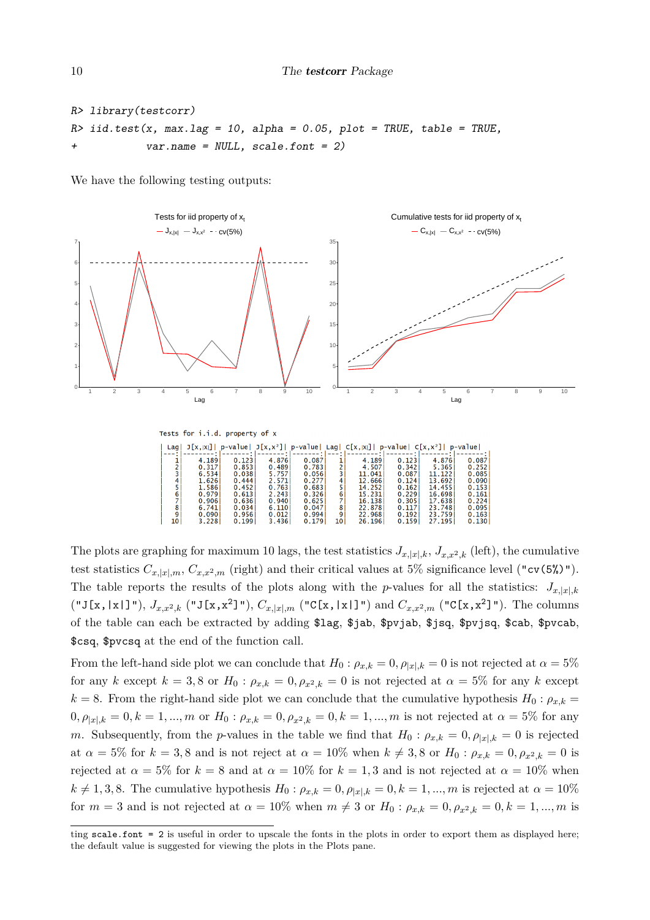```
R> library(testcorr)
R> iid.test(x, max.lag = 10, alpha = 0.05, plot = TRUE, table = TRUE.
            var.name = NULL, scale.font = 2)
```
We have the following testing outputs:



The plots are graphing for maximum 10 lags, the test statistics  $J_{x,|x|,k}$ ,  $J_{x,x^2,k}$  (left), the cumulative test statistics  $C_{x,|x|,m}$ ,  $C_{x,x^2,m}$  (right) and their critical values at 5% significance level ("cv(5%)"). The table reports the results of the plots along with the *p*-values for all the statistics:  $J_{x,|x|,k}$  $({}^{\mathsf{u}}\mathsf{J}[x,|x|]$ "),  $J_{x,x^2,k}$   $({}^{\mathsf{u}}\mathsf{J}[x,x^2]$ "),  $C_{x,|x|,m}$   $({}^{\mathsf{u}}\mathsf{C}[x,|x|]$ ") and  $C_{x,x^2,m}$   $({}^{\mathsf{u}}\mathsf{C}[x,x^2]$ "). The columns of the table can each be extracted by adding \$lag, \$jab, \$pvjab, \$jsq, \$pvjsq, \$cab, \$pvcab, \$csq, \$pvcsq at the end of the function call.

From the left-hand side plot we can conclude that  $H_0: \rho_{x,k} = 0, \rho_{|x|,k} = 0$  is not rejected at  $\alpha = 5\%$ for any *k* except  $k = 3, 8$  or  $H_0: \rho_{x,k} = 0, \rho_{x^2,k} = 0$  is not rejected at  $\alpha = 5\%$  for any *k* except  $k = 8$ . From the right-hand side plot we can conclude that the cumulative hypothesis  $H_0: \rho_{x,k} =$  $0, \rho_{|x|,k} = 0, k = 1, ..., m$  or  $H_0: \rho_{x,k} = 0, \rho_{x^2,k} = 0, k = 1, ..., m$  is not rejected at  $\alpha = 5\%$  for any *m*. Subsequently, from the *p*-values in the table we find that  $H_0: \rho_{x,k} = 0, \rho_{|x|,k} = 0$  is rejected at  $\alpha = 5\%$  for  $k = 3, 8$  and is not reject at  $\alpha = 10\%$  when  $k \neq 3, 8$  or  $H_0: \rho_{x,k} = 0, \rho_{x^2,k} = 0$  is rejected at  $\alpha = 5\%$  for  $k = 8$  and at  $\alpha = 10\%$  for  $k = 1,3$  and is not rejected at  $\alpha = 10\%$  when  $k \neq 1,3,8$ . The cumulative hypothesis  $H_0: \rho_{x,k} = 0, \rho_{|x|,k} = 0, k = 1, ..., m$  is rejected at  $\alpha = 10\%$ for  $m = 3$  and is not rejected at  $\alpha = 10\%$  when  $m \neq 3$  or  $H_0: \rho_{x,k} = 0, \rho_{x^2,k} = 0, k = 1, ..., m$  is

ting scale.font = 2 is useful in order to upscale the fonts in the plots in order to export them as displayed here; the default value is suggested for viewing the plots in the Plots pane.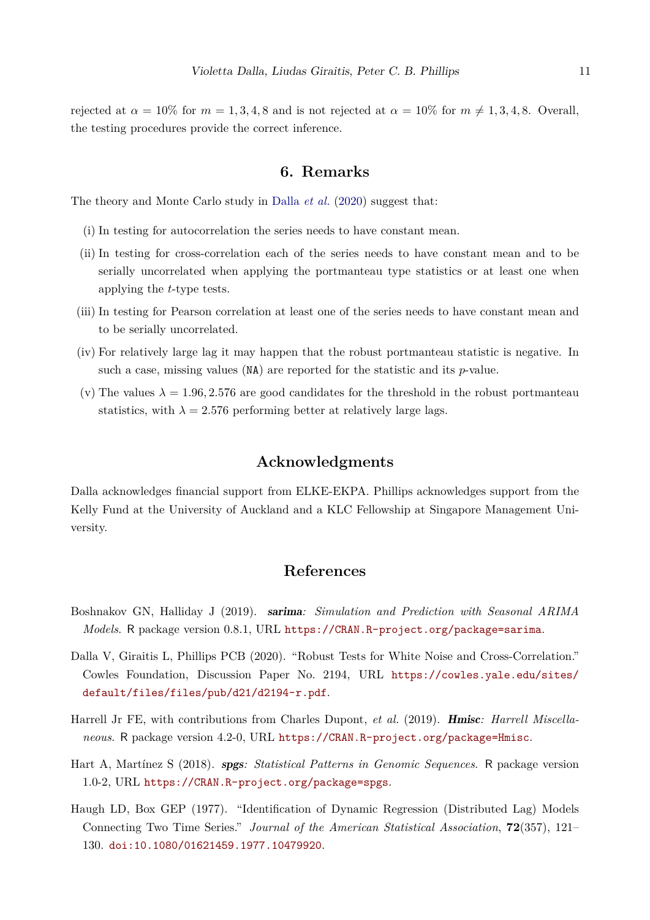rejected at  $\alpha = 10\%$  for  $m = 1, 3, 4, 8$  and is not rejected at  $\alpha = 10\%$  for  $m \neq 1, 3, 4, 8$ . Overall, the testing procedures provide the correct inference.

### **6. Remarks**

<span id="page-10-3"></span>The theory and Monte Carlo study in [Dalla](#page-10-0) *et al.* [\(2020\)](#page-10-0) suggest that:

- (i) In testing for autocorrelation the series needs to have constant mean.
- (ii) In testing for cross-correlation each of the series needs to have constant mean and to be serially uncorrelated when applying the portmanteau type statistics or at least one when applying the *t*-type tests.
- (iii) In testing for Pearson correlation at least one of the series needs to have constant mean and to be serially uncorrelated.
- (iv) For relatively large lag it may happen that the robust portmanteau statistic is negative. In such a case, missing values (NA) are reported for the statistic and its *p*-value.
- (v) The values  $\lambda = 1.96, 2.576$  are good candidates for the threshold in the robust portmanteau statistics, with  $\lambda = 2.576$  performing better at relatively large lags.

### **Acknowledgments**

Dalla acknowledges financial support from ELKE-EKPA. Phillips acknowledges support from the Kelly Fund at the University of Auckland and a KLC Fellowship at Singapore Management University.

## **References**

- <span id="page-10-1"></span>Boshnakov GN, Halliday J (2019). sarima*: Simulation and Prediction with Seasonal ARIMA Models*. R package version 0.8.1, URL <https://CRAN.R-project.org/package=sarima>.
- <span id="page-10-0"></span>Dalla V, Giraitis L, Phillips PCB (2020). "Robust Tests for White Noise and Cross-Correlation." Cowles Foundation, Discussion Paper No. 2194, URL [https://cowles.yale.edu/sites/](https://cowles.yale.edu/sites/default/files/files/pub/d21/d2194-r.pdf) [default/files/files/pub/d21/d2194-r.pdf](https://cowles.yale.edu/sites/default/files/files/pub/d21/d2194-r.pdf).
- <span id="page-10-2"></span>Harrell Jr FE, with contributions from Charles Dupont, *et al.* (2019). Hmisc*: Harrell Miscellaneous*. R package version 4.2-0, URL <https://CRAN.R-project.org/package=Hmisc>.
- <span id="page-10-4"></span>Hart A, Martínez S (2018). spgs*: Statistical Patterns in Genomic Sequences*. R package version 1.0-2, URL <https://CRAN.R-project.org/package=spgs>.
- Haugh LD, Box GEP (1977). "Identification of Dynamic Regression (Distributed Lag) Models Connecting Two Time Series." *Journal of the American Statistical Association*, **72**(357), 121– 130. [doi:10.1080/01621459.1977.10479920](https://doi.org/10.1080/01621459.1977.10479920).